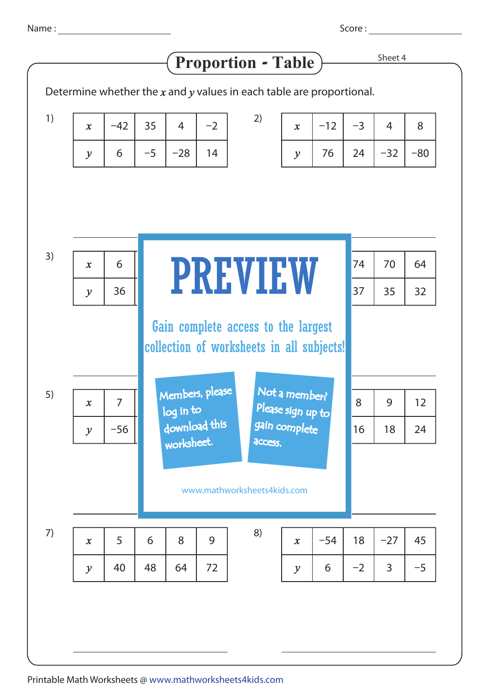